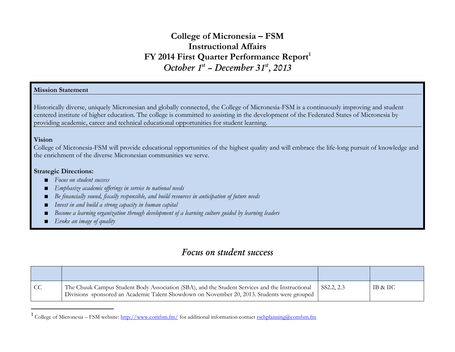# **College of Micronesia – FSM Instructional Affairs FY 2014 First Quarter Performance Report<sup>1</sup>** *October 1st – December 31st, 2013*

# **Mission Statement**

Historically diverse, uniquely Micronesian and globally connected, the College of Micronesia-FSM is a continuously improving and student centered institute of higher education. The college is committed to assisting in the development of the Federated States of Micronesia by providing academic, career and technical educational opportunities for student learning.

### **Vision**

 $\overline{a}$ 

College of Micronesia-FSM will provide educational opportunities of the highest quality and will embrace the life-long pursuit of knowledge and the enrichment of the diverse Micronesian communities we serve.

## **Strategic Directions:**

- *Focus on student success*
- *Emphasize academic offerings in service to national needs*
- *Be financially sound, fiscally responsible, and build resources in anticipation of future needs*
- *Invest in and build a strong capacity in human capital*
- *Become a learning organization through development of a learning culture guided by learning leaders*
- *Evoke an image of quality*

# *Focus on student success*

| $\overline{C}$ | The Chuuk Campus Student Body Association (SBA), and the Student Services and the Instructional<br>Divisions sponsored an Academic Talent Showdown on November 20, 2013. Students were grouped | SS2.2, 2.3 | IB & IIC |
|----------------|------------------------------------------------------------------------------------------------------------------------------------------------------------------------------------------------|------------|----------|

<sup>&</sup>lt;sup>1</sup> College of Micronesia – FSM website:<http://www.comfsm.fm/> for additional information contact [rschplanning@comfsm.fm](mailto:rschplanning@comfsm.fm)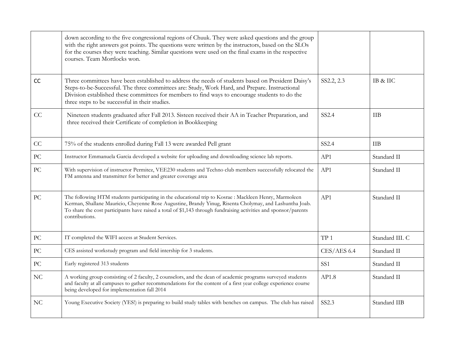|    | down according to the five congressional regions of Chuuk. They were asked questions and the group<br>with the right answers got points. The questions were written by the instructors, based on the SLOs<br>for the courses they were teaching. Similar questions were used on the final exams in the respective<br>courses. Team Mortlocks won.        |                 |                 |
|----|----------------------------------------------------------------------------------------------------------------------------------------------------------------------------------------------------------------------------------------------------------------------------------------------------------------------------------------------------------|-----------------|-----------------|
| CC | Three committees have been established to address the needs of students based on President Daisy's<br>Steps-to-be-Successful. The three committees are: Study, Work Hard, and Prepare. Instructional<br>Division established these committees for members to find ways to encourage students to do the<br>three steps to be successful in their studies. | SS2.2, 2.3      | IB & IIC        |
| CC | Nineteen students graduated after Fall 2013. Sisteen received their AA in Teacher Preparation, and<br>three received their Certificate of completion in Bookkeeping                                                                                                                                                                                      | SS2.4           | <b>TIB</b>      |
| CC | 75% of the students enrolled during Fall 13 were awarded Pell grant                                                                                                                                                                                                                                                                                      | SS2.4           | IIB             |
| PC | Instructor Emmanuela Garcia developed a website for uploading and downloading science lab reports.                                                                                                                                                                                                                                                       | AP1             | Standard II     |
| PC | With supervision of instructor Permitez, VEE230 students and Techno club members successfully relocated the<br>FM antenna and transmitter for better and greater coverage area                                                                                                                                                                           | AP1             | Standard II     |
| PC | The following HTM students participating in the educational trip to Kosrae : Mackleen Henry, Marmoleen<br>Kerman, Shallane Mauricio, Cheyenne Rose Augustine, Brandy Yinug, Risenta Cholymay, and Lashuntha Joab.<br>To share the cost participants have raised a total of \$1,143 through fundraising activities and sponsor/parents<br>contributions.  | AP1             | Standard II     |
| PC | IT completed the WIFI access at Student Services.                                                                                                                                                                                                                                                                                                        | TP <sub>1</sub> | Standard III. C |
| PC | CES assisted workstudy program and field intership for 3 students.                                                                                                                                                                                                                                                                                       | CES/AES 6.4     | Standard II     |
| PC | Early registered 313 students                                                                                                                                                                                                                                                                                                                            | SS <sub>1</sub> | Standard II     |
| NC | A working group consisting of 2 faculty, 2 counselors, and the dean of academic programs surveyed students<br>and faculty at all campuses to gather recommendations for the content of a first year college experience course<br>being developed for implementation fall 2014                                                                            | AP1.8           | Standard II     |
| NC | Young Executive Society (YES!) is preparing to build study tables with benches on campus. The club has raised                                                                                                                                                                                                                                            | SS2.3           | Standard IIB    |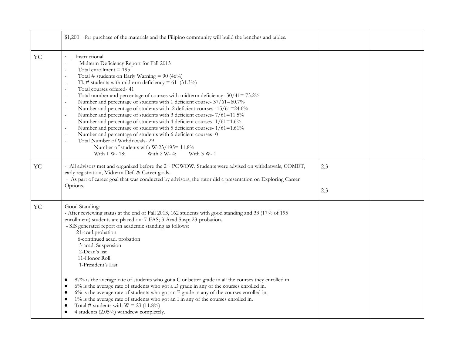|           | \$1,200+ for purchase of the materials and the Filipino community will build the benches and tables.                                                                                                                                                                                                                                                                                                                                                                                                                                                                                                                                                                                                                                                                                                                                                                                                     |            |  |
|-----------|----------------------------------------------------------------------------------------------------------------------------------------------------------------------------------------------------------------------------------------------------------------------------------------------------------------------------------------------------------------------------------------------------------------------------------------------------------------------------------------------------------------------------------------------------------------------------------------------------------------------------------------------------------------------------------------------------------------------------------------------------------------------------------------------------------------------------------------------------------------------------------------------------------|------------|--|
| <b>YC</b> | Instructional<br>Midterm Deficiency Report for Fall 2013<br>Total enrollment $= 195$<br>Total # students on Early Warning = $90(46%)$<br>Tl. # students with midterm deficiency = $61$ (31.3%)<br>Total courses offered-41<br>Total number and percentage of courses with midterm deficiency- 30/41=73.2%<br>Number and percentage of students with 1 deficient course- 37/61=60.7%<br>Number and percentage of students with 2 deficient courses-15/61=24.6%<br>Number and percentage of students with 3 deficient courses-7/61=11.5%<br>Number and percentage of students with 4 deficient courses-1/61=1.6%<br>Number and percentage of students with 5 deficient courses-1/61=1.61%<br>Number and percentage of students with 6 deficient courses- 0<br>Total Number of Withdrawals-29<br>Number of students with W-23/195= 11.8%<br>With 2 W- 4;<br>With 3 W- 1<br>With 1 W- 18;                    |            |  |
| <b>YC</b> | - All advisors met and organized before the 2 <sup>nd</sup> POWOW. Students were advised on withdrawals, COMET,<br>early registration, Midterm Def. & Career goals.<br>- As part of career goal that was conducted by advisors, the tutor did a presentation on Exploring Career<br>Options.                                                                                                                                                                                                                                                                                                                                                                                                                                                                                                                                                                                                             | 2.3<br>2.3 |  |
| <b>YC</b> | Good Standing:<br>- After reviewing status at the end of Fall 2013, 162 students with good standing and 33 (17% of 195<br>enrollment) students are placed on: 7-FAS; 3-Acad.Susp; 23-probation.<br>- SIS generated report on academic standing as follows:<br>21-acad.probation<br>6-continued acad. probation<br>3-acad. Suspension<br>2-Dean's list<br>11-Honor Roll<br>1-President's List<br>87% is the average rate of students who got a C or better grade in all the courses they enrolled in.<br>$6\%$ is the average rate of students who got a D grade in any of the courses enrolled in.<br>$\bullet$<br>6% is the average rate of students who got an F grade in any of the courses enrolled in.<br>1% is the average rate of students who got an I in any of the courses enrolled in.<br>٠<br>Total # students with $W = 23$ (11.8%)<br>$\bullet$<br>4 students (2.05%) withdrew completely. |            |  |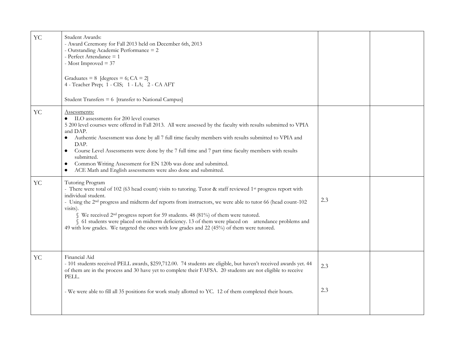| <b>YC</b>  | Student Awards:<br>- Award Ceremony for Fall 2013 held on December 6th, 2013<br>- Outstanding Academic Performance = 2<br>- Perfect Attendance = 1<br>- Most Improved $=$ 37<br>Graduates = $8$ [degrees = 6; CA = 2]<br>4 - Teacher Prep; 1 - CIS; 1 - LA; 2 - CA AFT<br>Student Transfers = 6 [transfer to National Campus]                                                                                                                                                                                                                                                                                      |            |  |
|------------|--------------------------------------------------------------------------------------------------------------------------------------------------------------------------------------------------------------------------------------------------------------------------------------------------------------------------------------------------------------------------------------------------------------------------------------------------------------------------------------------------------------------------------------------------------------------------------------------------------------------|------------|--|
| <b>YC</b>  | Assessments:<br>• ILO assessments for 200 level courses<br>5 200 level courses were offered in Fall 2013. All were assessed by the faculty with results submitted to VPIA<br>and DAP.<br>Authentic Assessment was done by all 7 full time faculty members with results submitted to VPIA and<br>DAP.<br>Course Level Assessments were done by the 7 full time and 7 part time faculty members with results<br>$\bullet$<br>submitted.<br>Common Writing Assessment for EN 120b was done and submitted.<br>$\bullet$<br>ACE Math and English assessments were also done and submitted.<br>$\bullet$                 |            |  |
| <b>YC</b>  | Tutoring Program<br>- There were total of 102 (63 head count) visits to tutoring. Tutor & staff reviewed 1 <sup>st</sup> progress report with<br>individual student.<br>- Using the 2 <sup>nd</sup> progress and midterm def reports from instructors, we were able to tutor 66 (head count-102)<br>visits).<br>§ We received 2 <sup>nd</sup> progress report for 59 students. 48 (81%) of them were tutored.<br>§ 61 students were placed on midterm deficiency. 13 of them were placed on attendance problems and<br>49 with low grades. We targeted the ones with low grades and 22 (45%) of them were tutored. | 2.3        |  |
| ${\rm YC}$ | Financial Aid<br>- 101 students received PELL awards, \$259,712.00. 74 students are eligible, but haven't received awards yet. 44<br>of them are in the process and 30 have yet to complete their FAFSA. 20 students are not eligible to receive<br>PELL.<br>- We were able to fill all 35 positions for work study allotted to YC. 12 of them completed their hours.                                                                                                                                                                                                                                              | 2.3<br>2.3 |  |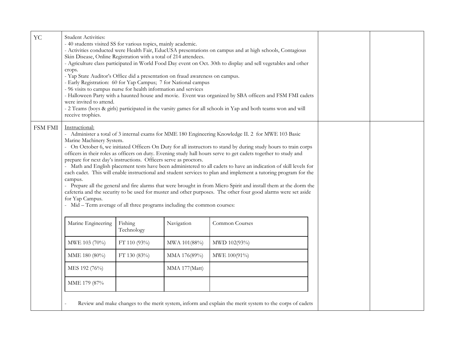| <b>YC</b>      | <b>Student Activities:</b><br>- 40 students visited SS for various topics, mainly academic.<br>Skin Disease, Online Registration with a total of 214 attendees.<br>crops.<br>- Yap State Auditor's Office did a presentation on fraud awareness on campus.<br>- Early Registration: 60 for Yap Campus; 7 for National campus<br>- 96 visits to campus nurse for health information and services<br>were invited to attend.<br>receive trophies. |                       |                | - Activities conducted were Health Fair, EducUSA presentations on campus and at high schools, Contagious<br>- Agriculture class participated in World Food Day event on Oct. 30th to display and sell vegetables and other<br>- Halloween Party with a haunted house and movie. Event was organized by SBA officers and FSM FMI cadets<br>- 2 Teams (boys & girls) participated in the varsity games for all schools in Yap and both teams won and will                                                                                                                                                                                                                                                                                                                                                                  |  |
|----------------|-------------------------------------------------------------------------------------------------------------------------------------------------------------------------------------------------------------------------------------------------------------------------------------------------------------------------------------------------------------------------------------------------------------------------------------------------|-----------------------|----------------|--------------------------------------------------------------------------------------------------------------------------------------------------------------------------------------------------------------------------------------------------------------------------------------------------------------------------------------------------------------------------------------------------------------------------------------------------------------------------------------------------------------------------------------------------------------------------------------------------------------------------------------------------------------------------------------------------------------------------------------------------------------------------------------------------------------------------|--|
| <b>FSM FMI</b> | Instructional:<br>Marine Machinery System.<br>prepare for next day's instructions. Officers serve as proctors.<br>campus.<br>for Yap Campus.<br>- Mid – Term average of all three programs including the common courses:                                                                                                                                                                                                                        |                       |                | - Administer a total of 3 internal exams for MME 180 Engineering Knowledge II. 2 for MWE 103 Basic<br>- On October 6, we initiated Officers On Duty for all instructors to stand by during study hours to train corps<br>officers in their roles as officers on duty. Evening study hall hours serve to get cadets together to study and<br>- Math and English placement tests have been administered to all cadets to have an indication of skill levels for<br>each cadet. This will enable instructional and student services to plan and implement a tutoring program for the<br>- Prepare all the general and fire alarms that were brought in from Micro Spirit and install them at the dorm the<br>cafeteria and the security to be used for muster and other purposes. The other four good alarms were set aside |  |
|                | Marine Engineering                                                                                                                                                                                                                                                                                                                                                                                                                              | Fishing<br>Technology | Navigation     | Common Courses                                                                                                                                                                                                                                                                                                                                                                                                                                                                                                                                                                                                                                                                                                                                                                                                           |  |
|                | MWE 103 (70%)                                                                                                                                                                                                                                                                                                                                                                                                                                   | FT 110 (93%)          | MWA 101(88%)   | MWD 102(93%)                                                                                                                                                                                                                                                                                                                                                                                                                                                                                                                                                                                                                                                                                                                                                                                                             |  |
|                | MME 180 (80%)                                                                                                                                                                                                                                                                                                                                                                                                                                   | FT 130 (83%)          | MMA 176(89%)   | MWE 100(91%)                                                                                                                                                                                                                                                                                                                                                                                                                                                                                                                                                                                                                                                                                                                                                                                                             |  |
|                | MES 192 (76%)                                                                                                                                                                                                                                                                                                                                                                                                                                   |                       | MMA 177 (Matt) |                                                                                                                                                                                                                                                                                                                                                                                                                                                                                                                                                                                                                                                                                                                                                                                                                          |  |
|                | MME 179 (87%                                                                                                                                                                                                                                                                                                                                                                                                                                    |                       |                |                                                                                                                                                                                                                                                                                                                                                                                                                                                                                                                                                                                                                                                                                                                                                                                                                          |  |
|                |                                                                                                                                                                                                                                                                                                                                                                                                                                                 |                       |                | Review and make changes to the merit system, inform and explain the merit system to the corps of cadets                                                                                                                                                                                                                                                                                                                                                                                                                                                                                                                                                                                                                                                                                                                  |  |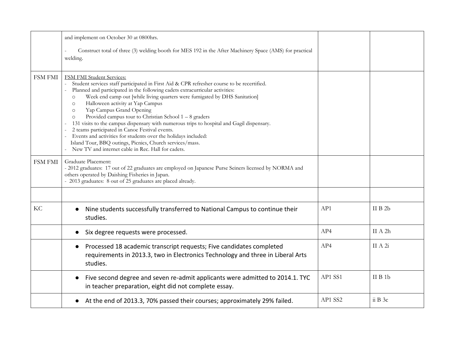|                | and implement on October 30 at 0800hrs.                                                                                                                                                                                                                                                                                                                                                                                                                                                                                                                                                                                                                                                                                                                                                          |         |         |
|----------------|--------------------------------------------------------------------------------------------------------------------------------------------------------------------------------------------------------------------------------------------------------------------------------------------------------------------------------------------------------------------------------------------------------------------------------------------------------------------------------------------------------------------------------------------------------------------------------------------------------------------------------------------------------------------------------------------------------------------------------------------------------------------------------------------------|---------|---------|
|                | Construct total of three (3) welding booth for MES 192 in the After Machinery Space (AMS) for practical<br>welding.                                                                                                                                                                                                                                                                                                                                                                                                                                                                                                                                                                                                                                                                              |         |         |
| FSM FMI        | FSM FMI Student Services:<br>Student services staff participated in First Aid & CPR refresher course to be recertified.<br>Planned and participated in the following cadets extracurricular activities:<br>Week end camp out [while living quarters were fumigated by DHS Sanitation]<br>$\circ$<br>Halloween activity at Yap Campus<br>$\circ$<br>Yap Campus Grand Opening<br>$\circ$<br>Provided campus tour to Christian School $1 - 8$ graders<br>$\circ$<br>131 visits to the campus dispensary with numerous trips to hospital and Gagil dispensary.<br>2 teams participated in Canoe Festival events.<br>Events and activities for students over the holidays included:<br>Island Tour, BBQ outings, Picnics, Church services/mass.<br>New TV and internet cable in Rec. Hall for cadets. |         |         |
| <b>FSM FMI</b> | Graduate Placement:<br>- 2012 graduates: 17 out of 22 graduates are employed on Japanese Purse Seiners licensed by NORMA and<br>others operated by Daishing Fisheries in Japan.<br>- 2013 graduates: 8 out of 25 graduates are placed already.                                                                                                                                                                                                                                                                                                                                                                                                                                                                                                                                                   |         |         |
|                |                                                                                                                                                                                                                                                                                                                                                                                                                                                                                                                                                                                                                                                                                                                                                                                                  |         |         |
| KC             | Nine students successfully transferred to National Campus to continue their<br>studies.                                                                                                                                                                                                                                                                                                                                                                                                                                                                                                                                                                                                                                                                                                          | AP1     | II B 2b |
|                | Six degree requests were processed.                                                                                                                                                                                                                                                                                                                                                                                                                                                                                                                                                                                                                                                                                                                                                              | AP4     | II A 2h |
|                | Processed 18 academic transcript requests; Five candidates completed<br>requirements in 2013.3, two in Electronics Technology and three in Liberal Arts<br>studies.                                                                                                                                                                                                                                                                                                                                                                                                                                                                                                                                                                                                                              | AP4     | II A 2i |
|                | Five second degree and seven re-admit applicants were admitted to 2014.1. TYC<br>$\bullet$<br>in teacher preparation, eight did not complete essay.                                                                                                                                                                                                                                                                                                                                                                                                                                                                                                                                                                                                                                              | AP1 SS1 | II B 1b |
|                | At the end of 2013.3, 70% passed their courses; approximately 29% failed.                                                                                                                                                                                                                                                                                                                                                                                                                                                                                                                                                                                                                                                                                                                        | AP1 SS2 | ii B 3c |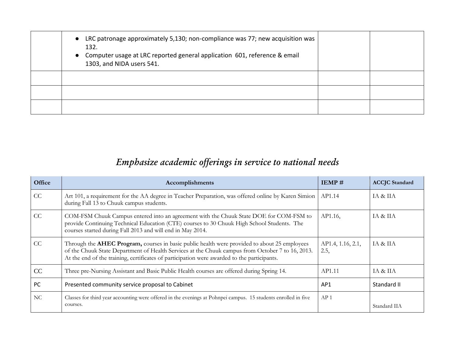| • LRC patronage approximately 5,130; non-compliance was 77; new acquisition was<br>132.<br>• Computer usage at LRC reported general application 601, reference & email<br>1303, and NIDA users 541. |  |
|-----------------------------------------------------------------------------------------------------------------------------------------------------------------------------------------------------|--|
|                                                                                                                                                                                                     |  |
|                                                                                                                                                                                                     |  |
|                                                                                                                                                                                                     |  |

# *Emphasize academic offerings in service to national needs*

| Office | Accomplishments                                                                                                                                                                                                                                                                                         | <b>IEMP#</b>              | <b>ACCJC</b> Standard |
|--------|---------------------------------------------------------------------------------------------------------------------------------------------------------------------------------------------------------------------------------------------------------------------------------------------------------|---------------------------|-----------------------|
| CC     | Art 101, a requirement for the AA degree in Teacher Preparation, was offered online by Karen Simion<br>during Fall 13 to Chuuk campus students.                                                                                                                                                         | AP1.14                    | IA & IIA              |
| CC     | COM-FSM Chuuk Campus entered into an agreement with the Chuuk State DOE for COM-FSM to<br>provide Continuing Technical Education (CTE) courses to 30 Chuuk High School Students. The<br>courses started during Fall 2013 and will end in May 2014.                                                      | AP1.16,                   | IA & IIA              |
| CC     | Through the <b>AHEC Program</b> , courses in basic public health were provided to about 25 employees<br>of the Chuuk State Department of Health Services at the Chuuk campus from October 7 to 16, 2013.<br>At the end of the training, certificates of participation were awarded to the participants. | AP1.4, 1.16, 2.1,<br>2.5, | IA & IIA              |
| CC     | Three pre-Nursing Assistant and Basic Public Health courses are offered during Spring 14.                                                                                                                                                                                                               | AP1.11                    | <b>IA &amp; IIA</b>   |
| PC     | Presented community service proposal to Cabinet                                                                                                                                                                                                                                                         | AP1                       | Standard II           |
| NC.    | Classes for third year accounting were offered in the evenings at Pohnpei campus. 15 students enrolled in five<br>courses.                                                                                                                                                                              | AP <sub>1</sub>           | Standard IIA          |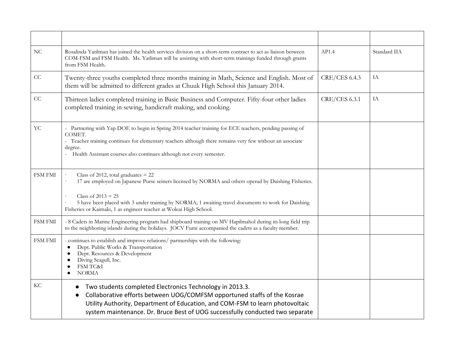| $\rm NC$   | Rosalinda Yatilman has joined the health services division on a short-term contract to act as liaison between<br>COM-FSM and FSM Health. Ms. Yatliman will be assisting with short-term trainings funded through grants<br>from FSM Health.                                                                                                        | AP1.4         | Standard IIA |
|------------|----------------------------------------------------------------------------------------------------------------------------------------------------------------------------------------------------------------------------------------------------------------------------------------------------------------------------------------------------|---------------|--------------|
| CC         | Twenty-three youths completed three months training in Math, Science and English. Most of<br>them will be admitted to different grades at Chuuk High School this January 2014.                                                                                                                                                                     | CRE/CES 6.4.3 | IA           |
| CC         | Thirteen ladies completed training in Basic Business and Computer. Fifty-four other ladies<br>completed training in sewing, handicraft making, and cooking.                                                                                                                                                                                        | CRE/CES 6.3.1 | $\rm IA$     |
| ${\rm YC}$ | - Partnering with Yap DOE to begin in Spring 2014 teacher training for ECE teachers, pending passing of<br>COMET.<br>- Teacher training continues for elementary teachers although there remains very few without an associate<br>degree.<br>Health Assistant courses also continues although not every semester.                                  |               |              |
| FSM FMI    | Class of 2012, total graduates $= 22$<br>17 are employed on Japanese Purse seiners licensed by NORMA and others operad by Daishing Fisheries.<br>Class of $2013 = 25$<br>5 have been placed with 3 under training by NORMA; 1 awaiting travel documents to work for Daishing<br>Fisheries or Kaimaki, 1 as engineer teacher at Woleai High School. |               |              |
| FSM FMI    | - 8 Cadets in Marine Engineering program had shipboard training on MV Hapilmahol during its long field trip<br>to the neighboring islands during the holidays. JOCV Fumi accompanied the cadets as a faculty member.                                                                                                                               |               |              |
| FSM FMI    | - continues to establish and improve relations/ partnerships with the following:<br>Dept. Public Works & Transportation<br>$\bullet$<br>Dept. Resources & Development<br>$\bullet$<br>Diving Seagull, Inc.<br>FSM TC&I<br>$\bullet$<br><b>NORMA</b>                                                                                                |               |              |
| KС         | Two students completed Electronics Technology in 2013.3.<br>Collaborative efforts between UOG/COMFSM opportuned staffs of the Kosrae<br>Utility Authority, Department of Education, and COM-FSM to learn photovoltaic<br>system maintenance. Dr. Bruce Best of UOG successfully conducted two separate                                             |               |              |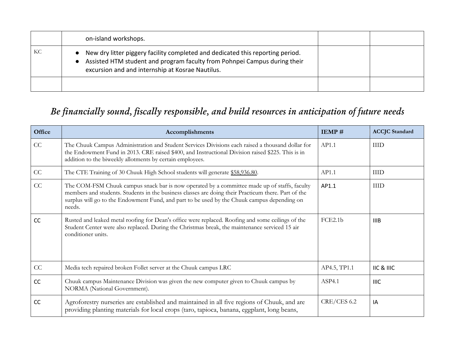|    | on-island workshops.                                                                                                                                                                                            |  |
|----|-----------------------------------------------------------------------------------------------------------------------------------------------------------------------------------------------------------------|--|
| KС | New dry litter piggery facility completed and dedicated this reporting period.<br>Assisted HTM student and program faculty from Pohnpei Campus during their<br>excursion and and internship at Kosrae Nautilus. |  |
|    |                                                                                                                                                                                                                 |  |

# *Be financially sound, fiscally responsible, and build resources in anticipation of future needs*

| Office   | Accomplishments                                                                                                                                                                                                                                                                                              | IEMP#        | <b>ACCJC</b> Standard |
|----------|--------------------------------------------------------------------------------------------------------------------------------------------------------------------------------------------------------------------------------------------------------------------------------------------------------------|--------------|-----------------------|
| $\rm CC$ | The Chuuk Campus Administration and Student Services Divisions each raised a thousand dollar for<br>the Endowment Fund in 2013. CRE raised \$400, and Instructional Division raised \$225. This is in<br>addition to the biweekly allotments by certain employees.                                           | AP1.1        | <b>IIID</b>           |
| CC       | The CTE Training of 30 Chuuk High School students will generate \$58,936.80.                                                                                                                                                                                                                                 | AP1.1        | <b>IIID</b>           |
| CC       | The COM-FSM Chuuk campus snack bar is now operated by a committee made up of staffs, faculty<br>members and students. Students in the business classes are doing their Practicum there. Part of the<br>surplus will go to the Endowment Fund, and part to be used by the Chuuk campus depending on<br>needs. | AP1.1        | <b>IIID</b>           |
| CC       | Rusted and leaked metal roofing for Dean's office were replaced. Roofing and some ceilings of the<br>Student Center were also replaced. During the Christmas break, the maintenance serviced 15 air<br>conditioner units.                                                                                    | FCE2.1b      | <b>IIIB</b>           |
| CC       | Media tech repaired broken Follet server at the Chuuk campus LRC                                                                                                                                                                                                                                             | AP4.5, TP1.1 | IIC & IIIC            |
| CC       | Chuuk campus Maintenance Division was given the new computer given to Chuuk campus by<br>NORMA (National Government).                                                                                                                                                                                        | ASP4.1       | <b>IIIC</b>           |
| CC       | Agroforestry nurseries are established and maintained in all five regions of Chuuk, and are<br>providing planting materials for local crops (taro, tapioca, banana, eggplant, long beans,                                                                                                                    | CRE/CES 6.2  | IA                    |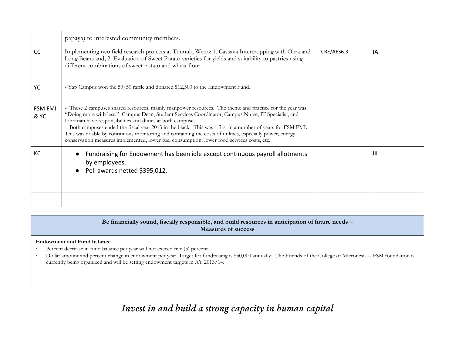|                        | papaya) to interested community members.                                                                                                                                                                                                                                                                                                                                                                                                                                                                                                                                                                |            |              |
|------------------------|---------------------------------------------------------------------------------------------------------------------------------------------------------------------------------------------------------------------------------------------------------------------------------------------------------------------------------------------------------------------------------------------------------------------------------------------------------------------------------------------------------------------------------------------------------------------------------------------------------|------------|--------------|
| CC                     | Implementing two field research projects at Tunnuk, Weno: 1. Cassava Intercropping with Okra and<br>Long Beans and, 2. Evaluation of Sweet Potato varieties for yields and suitability to pastries using<br>different combinations of sweet potato and wheat flour.                                                                                                                                                                                                                                                                                                                                     | CRE/AES6.3 | IA           |
| YC                     | - Yap Campus won the 50/50 raffle and donated \$12,500 to the Endowment Fund.                                                                                                                                                                                                                                                                                                                                                                                                                                                                                                                           |            |              |
| <b>FSM FMI</b><br>& YC | - These 2 campuses shared resources, mainly manpower resources. The theme and practice for the year was<br>"Doing more with less." Campus Dean, Student Services Coordinator, Campus Nurse, IT Specialist, and<br>Librarian have responsibilities and duties at both campuses.<br>- Both campuses ended the fiscal year 2013 in the black. This was a first in a number of years for FSM FMI.<br>This was doable by continuous monitoring and containing the costs of utilities, especially power, energy<br>conservation measures implemented, lower fuel consumption, lower food services costs, etc. |            |              |
| KC                     | Fundraising for Endowment has been idle except continuous payroll allotments<br>by employees.<br>Pell awards netted \$395,012.                                                                                                                                                                                                                                                                                                                                                                                                                                                                          |            | $\mathbf{H}$ |
|                        |                                                                                                                                                                                                                                                                                                                                                                                                                                                                                                                                                                                                         |            |              |
|                        |                                                                                                                                                                                                                                                                                                                                                                                                                                                                                                                                                                                                         |            |              |

### **Be financially sound, fiscally responsible, and build resources in anticipation of future needs – Measures of success**

### **Endowment and Fund balance**

- Percent decrease in fund balance per year will not exceed five (5) percent.
- ∙ Dollar amount and percent change in endowment per year. Target for fundraising is \$50,000 annually. The Friends of the College of Micronesia FSM foundation is currently being organized and will be setting endowment targets in AY 2013/14.

*Invest in and build a strong capacity in human capital*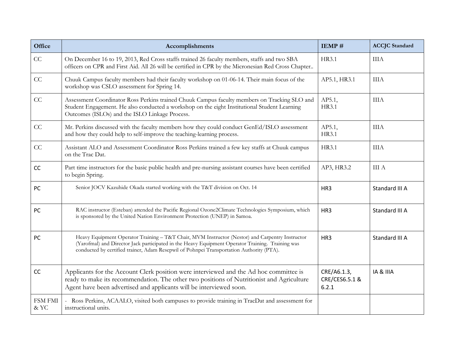| Office                 | Accomplishments                                                                                                                                                                                                                                                                                 | IEMP#                                  | <b>ACCJC</b> Standard |
|------------------------|-------------------------------------------------------------------------------------------------------------------------------------------------------------------------------------------------------------------------------------------------------------------------------------------------|----------------------------------------|-----------------------|
| CC                     | On December 16 to 19, 2013, Red Cross staffs trained 26 faculty members, staffs and two SBA<br>officers on CPR and First Aid. All 26 will be certified in CPR by the Micronesian Red Cross Chapter                                                                                              | HR3.1                                  | <b>IIIA</b>           |
| CC                     | Chuuk Campus faculty members had their faculty workshop on 01-06-14. Their main focus of the<br>workshop was CSLO assessment for Spring 14.                                                                                                                                                     | AP5.1, HR3.1                           | <b>IIIA</b>           |
| CC                     | Assessment Coordinator Ross Perkins trained Chuuk Campus faculty members on Tracking SLO and<br>Student Engagement. He also conducted a workshop on the eight Institutional Student Learning<br>Outcomes (ISLOs) and the ISLO Linkage Process.                                                  | AP5.1,<br>HR3.1                        | <b>IIIA</b>           |
| CC                     | Mr. Perkins discussed with the faculty members how they could conduct GenEd/ISLO assessment<br>and how they could help to self-improve the teaching-learning process.                                                                                                                           | AP5.1,<br>HR3.1                        | <b>IIIA</b>           |
| CC                     | Assistant ALO and Assessment Coordinator Ross Perkins trained a few key staffs at Chuuk campus<br>on the Trac Dat.                                                                                                                                                                              | HR3.1                                  | <b>IIIA</b>           |
| CC                     | Part time instructors for the basic public health and pre-nursing assistant courses have been certified<br>to begin Spring.                                                                                                                                                                     | AP3, HR3.2                             | <b>III</b> A          |
| PC                     | Senior JOCV Kazuhide Okada started working with the T&T division on Oct. 14                                                                                                                                                                                                                     | HR <sub>3</sub>                        | Standard III A        |
| PC                     | RAC instructor (Esteban) attended the Pacific Regional Ozone2Climate Technologies Symposium, which<br>is sponsored by the United Nation Environment Protection (UNEP) in Samoa.                                                                                                                 | HR <sub>3</sub>                        | Standard III A        |
| PC                     | Heavy Equipment Operator Training - T&T Chair, MVM Instructor (Nestor) and Carpentry Instructor<br>(Yarofmal) and Director Jack participated in the Heavy Equipment Operator Training. Training was<br>conducted by certified trainer, Adam Resepwil of Pohnpei Transportation Authority (PTA). | HR <sub>3</sub>                        | Standard III A        |
| CC                     | Applicants for the Account Clerk position were interviewed and the Ad hoc committee is<br>ready to make its recommendation. The other two positions of Nutritionist and Agriculture<br>Agent have been advertised and applicants will be interviewed soon.                                      | CRE/A6.1.3,<br>CRE/CES6.5.1 &<br>6.2.1 | IA & IIIA             |
| <b>FSM FMI</b><br>& YC | Ross Perkins, ACAALO, visited both campuses to provide training in TracDat and assessment for<br>instructional units.                                                                                                                                                                           |                                        |                       |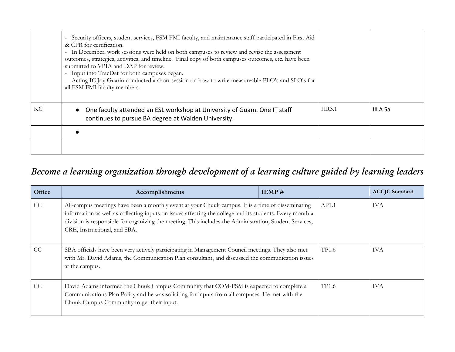|    | - Security officers, student services, FSM FMI faculty, and maintenance staff participated in First Aid<br>& CPR for certification.<br>- In December, work sessions were held on both campuses to review and revise the assessment<br>outcomes, strategies, activities, and timeline. Final copy of both campuses outcomes, etc. have been<br>submitted to VPIA and DAP for review.<br>- Input into TracDat for both campuses began.<br>Acting IC Joy Guarin conducted a short session on how to write measureable PLO's and SLO's for<br>all FSM FMI faculty members. |       |          |
|----|------------------------------------------------------------------------------------------------------------------------------------------------------------------------------------------------------------------------------------------------------------------------------------------------------------------------------------------------------------------------------------------------------------------------------------------------------------------------------------------------------------------------------------------------------------------------|-------|----------|
| KC | One faculty attended an ESL workshop at University of Guam. One IT staff<br>continues to pursue BA degree at Walden University.                                                                                                                                                                                                                                                                                                                                                                                                                                        | HR3.1 | III A 5a |
|    |                                                                                                                                                                                                                                                                                                                                                                                                                                                                                                                                                                        |       |          |
|    |                                                                                                                                                                                                                                                                                                                                                                                                                                                                                                                                                                        |       |          |

# *Become a learning organization through development of a learning culture guided by learning leaders*

| Office | Accomplishments                                                                                                                                                                                                                                                                                                                                          | IEMP# |              | <b>ACCJC</b> Standard |
|--------|----------------------------------------------------------------------------------------------------------------------------------------------------------------------------------------------------------------------------------------------------------------------------------------------------------------------------------------------------------|-------|--------------|-----------------------|
| CC     | All-campus meetings have been a monthly event at your Chuuk campus. It is a time of disseminating<br>information as well as collecting inputs on issues affecting the college and its students. Every month a<br>division is responsible for organizing the meeting. This includes the Administration, Student Services,<br>CRE, Instructional, and SBA. |       | AP1.1        | <b>IVA</b>            |
| CC     | SBA officials have been very actively participating in Management Council meetings. They also met<br>with Mr. David Adams, the Communication Plan consultant, and discussed the communication issues<br>at the campus.                                                                                                                                   |       | <b>TP1.6</b> | <b>IVA</b>            |
| CC     | David Adams informed the Chuuk Campus Community that COM-FSM is expected to complete a<br>Communications Plan Policy and he was soliciting for inputs from all campuses. He met with the<br>Chuuk Campus Community to get their input.                                                                                                                   |       | <b>TP1.6</b> | <b>IVA</b>            |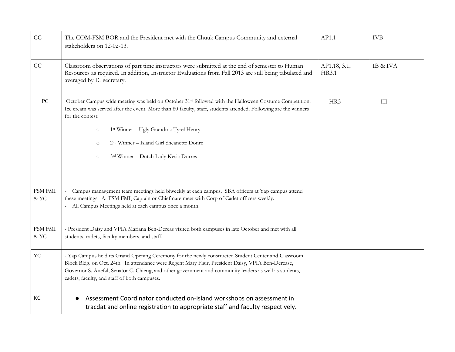| CC                        | The COM-FSM BOR and the President met with the Chuuk Campus Community and external<br>stakeholders on 12-02-13.                                                                                                                                                                                                                                                                                                                    | AP1.1                 | <b>IVB</b> |
|---------------------------|------------------------------------------------------------------------------------------------------------------------------------------------------------------------------------------------------------------------------------------------------------------------------------------------------------------------------------------------------------------------------------------------------------------------------------|-----------------------|------------|
| CC                        | Classroom observations of part time instructors were submitted at the end of semester to Human<br>Resources as required. In addition, Instructor Evaluations from Fall 2013 are still being tabulated and<br>averaged by IC secretary.                                                                                                                                                                                             | AP1.18, 3.1,<br>HR3.1 | IB & IVA   |
| PC                        | October Campus wide meeting was held on October 31 <sup>st</sup> followed with the Halloween Costume Competition.<br>Ice cream was served after the event. More than 80 faculty, staff, students attended. Following are the winners<br>for the contest:<br>1st Winner - Ugly Grandma Tyrel Henry<br>$\circ$<br>2 <sup>nd</sup> Winner - Island Girl Sheanette Donre<br>$\circ$<br>3rd Winner - Dutch Lady Kesia Dorres<br>$\circ$ | HR3                   | $\rm III$  |
| <b>FSM FMI</b><br>& YC    | Campus management team meetings held biweekly at each campus. SBA officers at Yap campus attend<br>these meetings. At FSM FMI, Captain or Chiefmate meet with Corp of Cadet officers weekly.<br>- All Campus Meetings held at each campus once a month.                                                                                                                                                                            |                       |            |
| <b>FSM FMI</b><br>$\&$ YC | - President Daisy and VPIA Mariana Ben-Dereas visited both campuses in late October and met with all<br>students, cadets, faculty members, and staff.                                                                                                                                                                                                                                                                              |                       |            |
| <b>YC</b>                 | - Yap Campus held its Grand Opening Ceremony for the newly constructed Student Center and Classroom<br>Block Bldg. on Oct. 24th. In attendance were Regent Mary Figir, President Daisy, VPIA Ben-Derease,<br>Governor S. Anefal, Senator C. Chieng, and other government and community leaders as well as students,<br>cadets, faculty, and staff of both campuses.                                                                |                       |            |
| KC                        | Assessment Coordinator conducted on-island workshops on assessment in<br>tracdat and online registration to appropriate staff and faculty respectively.                                                                                                                                                                                                                                                                            |                       |            |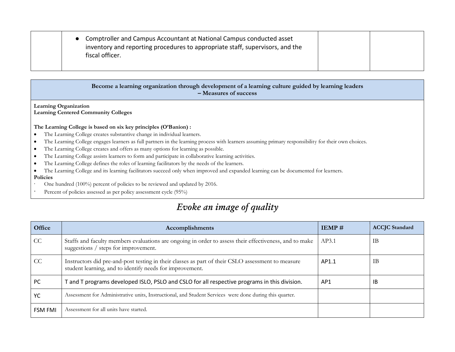| Comptroller and Campus Accountant at National Campus conducted asset<br>inventory and reporting procedures to appropriate staff, supervisors, and the<br>fiscal officer. |  |
|--------------------------------------------------------------------------------------------------------------------------------------------------------------------------|--|
|                                                                                                                                                                          |  |

### **Become a learning organization through development of a learning culture guided by learning leaders – Measures of success**

**Learning Organization Learning Centered Community Colleges**

#### **The Learning College is based on six key principles (O'Banion) :**

- The Learning College creates substantive change in individual learners.
- The Learning College engages learners as full partners in the learning process with learners assuming primary responsibility for their own choices.
- The Learning College creates and offers as many options for learning as possible.
- The Learning College assists learners to form and participate in collaborative learning activities.
- The Learning College defines the roles of learning facilitators by the needs of the learners.
- The Learning College and its learning facilitators succeed only when improved and expanded learning can be documented for learners.

### **Policies**

- ∙ One hundred (100%) percent of policies to be reviewed and updated by 2016.
- Percent of policies assessed as per policy assessment cycle (95%)

# *Evoke an image of quality*

| Office         | Accomplishments                                                                                                                                               | IEMP# | <b>ACCJC</b> Standard |
|----------------|---------------------------------------------------------------------------------------------------------------------------------------------------------------|-------|-----------------------|
| CC             | Staffs and faculty members evaluations are ongoing in order to assess their effectiveness, and to make<br>suggestions / steps for improvement.                | AP3.1 | IB                    |
| CC             | Instructors did pre-and-post testing in their classes as part of their CSLO assessment to measure<br>student learning, and to identify needs for improvement. | AP1.1 | IB                    |
| PC             | T and T programs developed ISLO, PSLO and CSLO for all respective programs in this division.                                                                  | AP1   | 1B                    |
| YC             | Assessment for Administrative units, Instructional, and Student Services were done during this quarter.                                                       |       |                       |
| <b>FSM FMI</b> | Assessment for all units have started.                                                                                                                        |       |                       |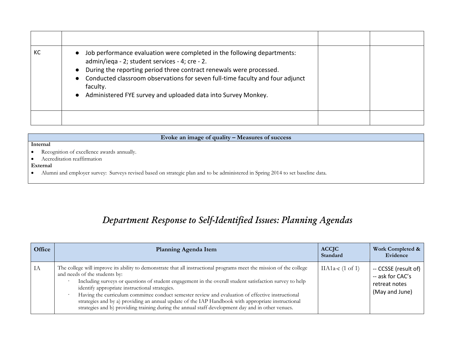| КC | Job performance evaluation were completed in the following departments:<br>admin/iega - 2; student services - 4; cre - 2.<br>During the reporting period three contract renewals were processed.<br>• Conducted classroom observations for seven full-time faculty and four adjunct<br>faculty.<br>• Administered FYE survey and uploaded data into Survey Monkey. |  |
|----|--------------------------------------------------------------------------------------------------------------------------------------------------------------------------------------------------------------------------------------------------------------------------------------------------------------------------------------------------------------------|--|
|    |                                                                                                                                                                                                                                                                                                                                                                    |  |

# **Evoke an image of quality – Measures of success**

#### **Internal**

- Recognition of excellence awards annually.
- Accreditation reaffirmation

#### **External**

Alumni and employer survey: Surveys revised based on strategic plan and to be administered in Spring 2014 to set baseline data.

# *Department Response to Self-Identified Issues: Planning Agendas*

| Office | <b>Planning Agenda Item</b>                                                                                                                                                                                                                                                                                                                                                                                                                                                                                                                                                                                                       | <b>ACCJC</b><br>Standard    | Work Completed &<br>Evidence                                                |
|--------|-----------------------------------------------------------------------------------------------------------------------------------------------------------------------------------------------------------------------------------------------------------------------------------------------------------------------------------------------------------------------------------------------------------------------------------------------------------------------------------------------------------------------------------------------------------------------------------------------------------------------------------|-----------------------------|-----------------------------------------------------------------------------|
| IA     | The college will improve its ability to demonstrate that all instructional programs meet the mission of the college<br>and needs of the students by:<br>Including surveys or questions of student engagement in the overall student satisfaction survey to help<br>identify appropriate instructional strategies.<br>Having the curriculum committee conduct semester review and evaluation of effective instructional<br>strategies and by a) providing an annual update of the IAP Handbook with appropriate instructional<br>strategies and b) providing training during the annual staff development day and in other venues. | IIA1a-c $(1 \text{ of } 1)$ | -- CCSSE (result of)<br>-- ask for CAC's<br>retreat notes<br>(May and June) |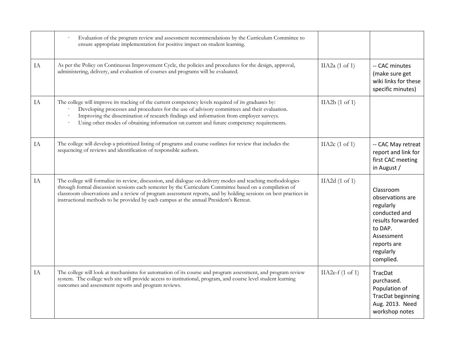|    | Evaluation of the program review and assessment recommendations by the Curriculum Committee to<br>ensure appropriate implementation for positive impact on student learning.                                                                                                                                                                                                                                                        |                             |                                                                                                                                                    |
|----|-------------------------------------------------------------------------------------------------------------------------------------------------------------------------------------------------------------------------------------------------------------------------------------------------------------------------------------------------------------------------------------------------------------------------------------|-----------------------------|----------------------------------------------------------------------------------------------------------------------------------------------------|
| IA | As per the Policy on Continuous Improvement Cycle, the policies and procedures for the design, approval,<br>administering, delivery, and evaluation of courses and programs will be evaluated.                                                                                                                                                                                                                                      | IIA2a $(1 \text{ of } 1)$   | -- CAC minutes<br>(make sure get<br>wiki links for these<br>specific minutes)                                                                      |
| IA | The college will improve its tracking of the current competency levels required of its graduates by:<br>Developing processes and procedures for the use of advisory committees and their evaluation.<br>Improving the dissemination of research findings and information from employer surveys.<br>Using other modes of obtaining information on current and future competency requirements.                                        | IIA2b(1 of 1)               |                                                                                                                                                    |
| IA | The college will develop a prioritized listing of programs and course outlines for review that includes the<br>sequencing of reviews and identification of responsible authors.                                                                                                                                                                                                                                                     | IIA2 $c(1 \text{ of } 1)$   | -- CAC May retreat<br>report and link for<br>first CAC meeting<br>in August /                                                                      |
| IA | The college will formalize its review, discussion, and dialogue on delivery modes and teaching methodologies<br>through formal discussion sessions each semester by the Curriculum Committee based on a compilation of<br>classroom observations and a review of program assessment reports, and by holding sessions on best practices in<br>instructional methods to be provided by each campus at the annual President's Retreat. | IIA2d (1 of 1)              | Classroom<br>observations are<br>regularly<br>conducted and<br>results forwarded<br>to DAP.<br>Assessment<br>reports are<br>regularly<br>complied. |
| IA | The college will look at mechanisms for automation of its course and program assessment, and program review<br>system. The college web site will provide access to institutional, program, and course level student learning<br>outcomes and assessment reports and program reviews.                                                                                                                                                | IIA2e- $f(1 \text{ of } 1)$ | TracDat<br>purchased.<br>Population of<br><b>TracDat beginning</b><br>Aug. 2013. Need<br>workshop notes                                            |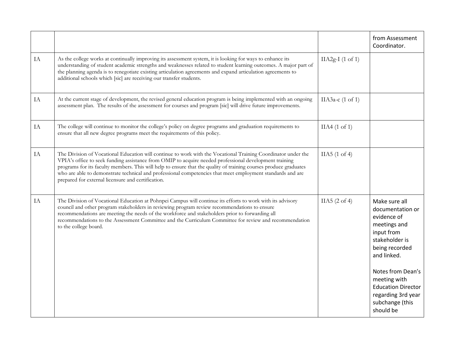|    |                                                                                                                                                                                                                                                                                                                                                                                                                                                                                                                  |                             | from Assessment<br>Coordinator.                                                                                                                                                                                                              |
|----|------------------------------------------------------------------------------------------------------------------------------------------------------------------------------------------------------------------------------------------------------------------------------------------------------------------------------------------------------------------------------------------------------------------------------------------------------------------------------------------------------------------|-----------------------------|----------------------------------------------------------------------------------------------------------------------------------------------------------------------------------------------------------------------------------------------|
| IA | As the college works at continually improving its assessment system, it is looking for ways to enhance its<br>understanding of student academic strengths and weaknesses related to student learning outcomes. A major part of<br>the planning agenda is to renegotiate existing articulation agreements and expand articulation agreements to<br>additional schools which [sic] are receiving our transfer students.                                                                                            | $IIA2g-I (1 of 1)$          |                                                                                                                                                                                                                                              |
| IA | At the current stage of development, the revised general education program is being implemented with an ongoing<br>assessment plan. The results of the assessment for courses and program [sic] will drive future improvements.                                                                                                                                                                                                                                                                                  | IIA3a-c $(1 \text{ of } 1)$ |                                                                                                                                                                                                                                              |
| IA | The college will continue to monitor the college's policy on degree programs and graduation requirements to<br>ensure that all new degree programs meet the requirements of this policy.                                                                                                                                                                                                                                                                                                                         | $IIA4$ (1 of 1)             |                                                                                                                                                                                                                                              |
| IA | The Division of Vocational Education will continue to work with the Vocational Training Coordinator under the<br>VPIA's office to seek funding assistance from OMIP to acquire needed professional development training<br>programs for its faculty members. This will help to ensure that the quality of training courses produce graduates<br>who are able to demonstrate technical and professional competencies that meet employment standards and are<br>prepared for external licensure and certification. | IIA5(1 of 4)                |                                                                                                                                                                                                                                              |
| IA | The Division of Vocational Education at Pohnpei Campus will continue its efforts to work with its advisory<br>council and other program stakeholders in reviewing program review recommendations to ensure<br>recommendations are meeting the needs of the workforce and stakeholders prior to forwarding all<br>recommendations to the Assessment Committee and the Curriculum Committee for review and recommendation<br>to the college board.                                                                 | IIA5 $(2$ of 4)             | Make sure all<br>documentation or<br>evidence of<br>meetings and<br>input from<br>stakeholder is<br>being recorded<br>and linked.<br>Notes from Dean's<br>meeting with<br><b>Education Director</b><br>regarding 3rd year<br>subchange (this |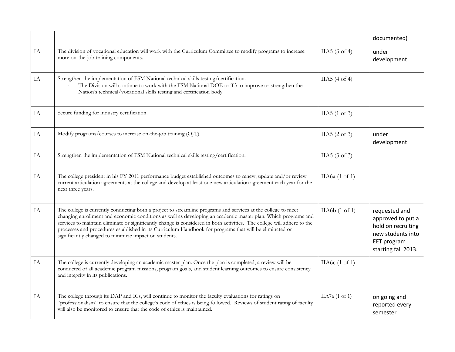|          |                                                                                                                                                                                                                                                                                                                                                                                                                                                                                                                               |                           | documented)                                                                                                         |
|----------|-------------------------------------------------------------------------------------------------------------------------------------------------------------------------------------------------------------------------------------------------------------------------------------------------------------------------------------------------------------------------------------------------------------------------------------------------------------------------------------------------------------------------------|---------------------------|---------------------------------------------------------------------------------------------------------------------|
| IA       | The division of vocational education will work with the Curriculum Committee to modify programs to increase<br>more on-the-job training components.                                                                                                                                                                                                                                                                                                                                                                           | IIA5 $(3$ of 4)           | under<br>development                                                                                                |
| IA       | Strengthen the implementation of FSM National technical skills testing/certification.<br>The Division will continue to work with the FSM National DOE or T3 to improve or strengthen the<br>Nation's technical/vocational skills testing and certification body.                                                                                                                                                                                                                                                              | IIA5(4 of 4)              |                                                                                                                     |
| $\rm IA$ | Secure funding for industry certification.                                                                                                                                                                                                                                                                                                                                                                                                                                                                                    | IIA5(1 of 3)              |                                                                                                                     |
| IA       | Modify programs/courses to increase on-the-job training (OJT).                                                                                                                                                                                                                                                                                                                                                                                                                                                                | IIA5(2 of 3)              | under<br>development                                                                                                |
| IA       | Strengthen the implementation of FSM National technical skills testing/certification.                                                                                                                                                                                                                                                                                                                                                                                                                                         | IIA5 $(3 \text{ of } 3)$  |                                                                                                                     |
| IA       | The college president in his FY 2011 performance budget established outcomes to renew, update and/or review<br>current articulation agreements at the college and develop at least one new articulation agreement each year for the<br>next three years.                                                                                                                                                                                                                                                                      | IIA6a $(1$ of 1)          |                                                                                                                     |
| $\rm IA$ | The college is currently conducting both a project to streamline programs and services at the college to meet<br>changing enrollment and economic conditions as well as developing an academic master plan. Which programs and<br>services to maintain eliminate or significantly change is considered in both activities. The college will adhere to the<br>processes and procedures established in its Curriculum Handbook for programs that will be eliminated or<br>significantly changed to minimize impact on students. | IIA6b(1 of 1)             | requested and<br>approved to put a<br>hold on recruiting<br>new students into<br>EET program<br>starting fall 2013. |
| IA       | The college is currently developing an academic master plan. Once the plan is completed, a review will be<br>conducted of all academic program missions, program goals, and student learning outcomes to ensure consistency<br>and integrity in its publications.                                                                                                                                                                                                                                                             | IIA6 $c(1 \text{ of } 1)$ |                                                                                                                     |
| $\rm IA$ | The college through its DAP and ICs, will continue to monitor the faculty evaluations for ratings on<br>"professionalism" to ensure that the college's code of ethics is being followed. Reviews of student rating of faculty<br>will also be monitored to ensure that the code of ethics is maintained.                                                                                                                                                                                                                      | IIA7a (1 of 1)            | on going and<br>reported every<br>semester                                                                          |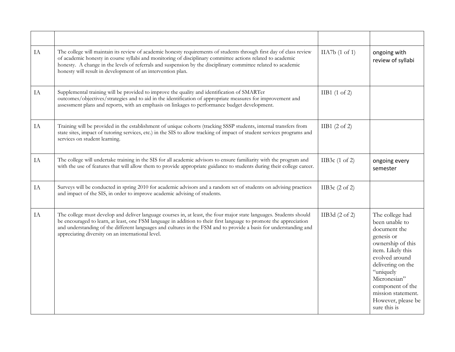| IA | The college will maintain its review of academic honesty requirements of students through first day of class review<br>of academic honesty in course syllabi and monitoring of disciplinary committee actions related to academic<br>honesty. A change in the levels of referrals and suspension by the disciplinary committee related to academic<br>honesty will result in development of an intervention plan.   | IIA7b(1 of 1)             | ongoing with<br>review of syllabi                                                                                                                                                                                                                             |
|----|---------------------------------------------------------------------------------------------------------------------------------------------------------------------------------------------------------------------------------------------------------------------------------------------------------------------------------------------------------------------------------------------------------------------|---------------------------|---------------------------------------------------------------------------------------------------------------------------------------------------------------------------------------------------------------------------------------------------------------|
| IA | Supplemental training will be provided to improve the quality and identification of SMARTer<br>outcomes/objectives/strategies and to aid in the identification of appropriate measures for improvement and<br>assessment plans and reports, with an emphasis on linkages to performance budget development.                                                                                                         | $IIB1$ (1 of 2)           |                                                                                                                                                                                                                                                               |
| IA | Training will be provided in the establishment of unique cohorts (tracking SSSP students, internal transfers from<br>state sites, impact of tutoring services, etc.) in the SIS to allow tracking of impact of student services programs and<br>services on student learning.                                                                                                                                       | IIB1 $(2 \text{ of } 2)$  |                                                                                                                                                                                                                                                               |
| IA | The college will undertake training in the SIS for all academic advisors to ensure familiarity with the program and<br>with the use of features that will allow them to provide appropriate guidance to students during their college career.                                                                                                                                                                       | IIB3c $(1 \text{ of } 2)$ | ongoing every<br>semester                                                                                                                                                                                                                                     |
| IA | Surveys will be conducted in spring 2010 for academic advisors and a random set of students on advising practices<br>and impact of the SIS, in order to improve academic advising of students.                                                                                                                                                                                                                      | IIB3c $(2 \text{ of } 2)$ |                                                                                                                                                                                                                                                               |
| IA | The college must develop and deliver language courses in, at least, the four major state languages. Students should<br>be encouraged to learn, at least, one FSM language in addition to their first language to promote the appreciation<br>and understanding of the different languages and cultures in the FSM and to provide a basis for understanding and<br>appreciating diversity on an international level. | IIB3d $(2 \text{ of } 2)$ | The college had<br>been unable to<br>document the<br>genesis or<br>ownership of this<br>item. Likely this<br>evolved around<br>delivering on the<br>"uniquely<br>Micronesian"<br>component of the<br>mission statement.<br>However, please be<br>sure this is |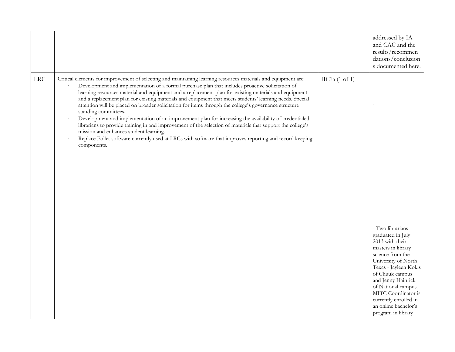|            |                                                                                                                                                                                                                                                                                                                                                                                                                                                                                                                                                                                                                                                                                                                                                                                                                                                                                                                                                                     |                         | addressed by IA<br>and CAC and the<br>results/recommen<br>dations/conclusion<br>s documented here.                                                                                                                                                                                                               |
|------------|---------------------------------------------------------------------------------------------------------------------------------------------------------------------------------------------------------------------------------------------------------------------------------------------------------------------------------------------------------------------------------------------------------------------------------------------------------------------------------------------------------------------------------------------------------------------------------------------------------------------------------------------------------------------------------------------------------------------------------------------------------------------------------------------------------------------------------------------------------------------------------------------------------------------------------------------------------------------|-------------------------|------------------------------------------------------------------------------------------------------------------------------------------------------------------------------------------------------------------------------------------------------------------------------------------------------------------|
| <b>LRC</b> | Critical elements for improvement of selecting and maintaining learning resources materials and equipment are:<br>Development and implementation of a formal purchase plan that includes proactive solicitation of<br>learning resources material and equipment and a replacement plan for existing materials and equipment<br>and a replacement plan for existing materials and equipment that meets students' learning needs. Special<br>attention will be placed on broader solicitation for items through the college's governance structure<br>standing committees.<br>Development and implementation of an improvement plan for increasing the availability of credentialed<br>librarians to provide training in and improvement of the selection of materials that support the college's<br>mission and enhances student learning.<br>Replace Follet software currently used at LRCs with software that improves reporting and record keeping<br>components. | $\text{IIC1a}$ (1 of 1) | - Two librarians<br>graduated in July<br>2013 with their<br>masters in library<br>science from the<br>University of North<br>Texas - Jayleen Kokis<br>of Chuuk campus<br>and Jenny Hainrick<br>of National campus.<br>MITC Coordinator is<br>currently enrolled in<br>an online bachelor's<br>program in library |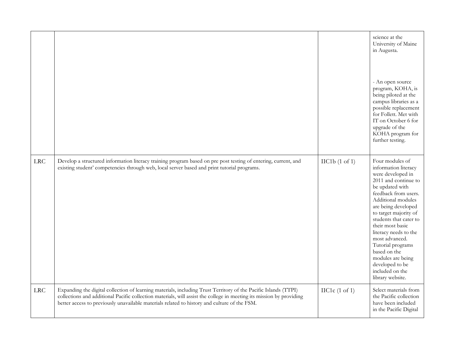|            |                                                                                                                                                                                                                                                                                                                                         |                         | science at the<br>University of Maine<br>in Augusta.<br>- An open source<br>program, KOHA, is<br>being piloted at the<br>campus libraries as a<br>possible replacement<br>for Follett. Met with<br>IT on October 6 for<br>upgrade of the<br>KOHA program for<br>further testing.                                                                                                                                   |
|------------|-----------------------------------------------------------------------------------------------------------------------------------------------------------------------------------------------------------------------------------------------------------------------------------------------------------------------------------------|-------------------------|--------------------------------------------------------------------------------------------------------------------------------------------------------------------------------------------------------------------------------------------------------------------------------------------------------------------------------------------------------------------------------------------------------------------|
| <b>LRC</b> | Develop a structured information literacy training program based on pre post testing of entering, current, and<br>existing student' competencies through web, local server based and print tutorial programs.                                                                                                                           | $\text{IIC1b}$ (1 of 1) | Four modules of<br>information literacy<br>were developed in<br>2011 and continue to<br>be updated with<br>feedback from users.<br>Additional modules<br>are being developed<br>to target majority of<br>students that cater to<br>their most basic<br>literacy needs to the<br>most advanced.<br>Tutorial programs<br>based on the<br>modules are being<br>developed to be<br>included on the<br>library website. |
| <b>LRC</b> | Expanding the digital collection of learning materials, including Trust Territory of the Pacific Islands (TTPI)<br>collections and additional Pacific collection materials, will assist the college in meeting its mission by providing<br>better access to previously unavailable materials related to history and culture of the FSM. | $\text{IIC1c}$ (1 of 1) | Select materials from<br>the Pacific collection<br>have been included<br>in the Pacific Digital                                                                                                                                                                                                                                                                                                                    |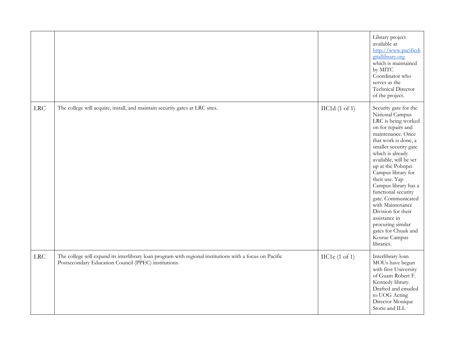|            |                                                                                                                                                                  |                         | Library project<br>available at<br>http://www.pacificdi<br>gitallibrary.org<br>which is maintained<br>by MITC<br>Coordinator who<br>serves as the<br>Technical Director<br>of the project.                                                                                                                                                                                                                                                                                        |
|------------|------------------------------------------------------------------------------------------------------------------------------------------------------------------|-------------------------|-----------------------------------------------------------------------------------------------------------------------------------------------------------------------------------------------------------------------------------------------------------------------------------------------------------------------------------------------------------------------------------------------------------------------------------------------------------------------------------|
| <b>LRC</b> | The college will acquire, install, and maintain security gates at LRC sites.                                                                                     | $\text{IIC1d}$ (1 of 1) | Security gate for the<br>National Campus<br>LRC is being worked<br>on for repairs and<br>maintenance. Once<br>that work is done, a<br>smaller security gate<br>which is already<br>available, will be set<br>up at the Pohnpei<br>Campus library for<br>their use. Yap<br>Campus library has a<br>functional security<br>gate. Communicated<br>with Maintenance<br>Division for their<br>assistance in<br>procuring similar<br>gates for Chuuk and<br>Kosrae Campus<br>libraries. |
| LRC        | The college will expand its interlibrary loan program with regional institutions with a focus on Pacific<br>Postsecondary Education Council (PPEC) institutions. | $\text{IIC1e}$ (1 of 1) | Interlibrary loan<br>MOUs have begun<br>with first University<br>of Guam Robert F.<br>Kennedy library.<br>Drafted and emailed<br>to UOG Acting<br>Director Monique<br>Storie and ILL                                                                                                                                                                                                                                                                                              |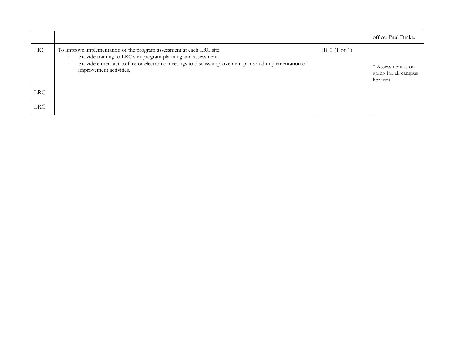|            |                                                                                                                                                                                                                                                                            |                        | officer Paul Drake.                                      |
|------------|----------------------------------------------------------------------------------------------------------------------------------------------------------------------------------------------------------------------------------------------------------------------------|------------------------|----------------------------------------------------------|
| <b>LRC</b> | To improve implementation of the program assessment at each LRC site:<br>Provide training to LRC's in program planning and assessment.<br>Provide either fact-to-face or electronic meetings to discuss improvement plans and implementation of<br>improvement activities. | $\text{IIC2}$ (1 of 1) | * Assessment is on-<br>going for all campus<br>libraries |
| <b>LRC</b> |                                                                                                                                                                                                                                                                            |                        |                                                          |
| <b>LRC</b> |                                                                                                                                                                                                                                                                            |                        |                                                          |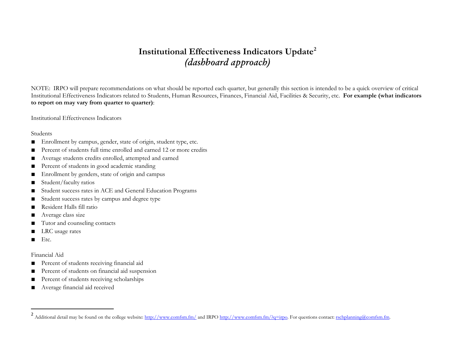# **Institutional Effectiveness Indicators Update<sup>2</sup>** *(dashboard approach)*

NOTE: IRPO will prepare recommendations on what should be reported each quarter, but generally this section is intended to be a quick overview of critical Institutional Effectiveness Indicators related to Students, Human Resources, Finances, Financial Aid, Facilities & Security, etc. **For example (what indicators to report on may vary from quarter to quarter)**:

Institutional Effectiveness Indicators

#### Students

- Enrollment by campus, gender, state of origin, student type, etc.
- Percent of students full time enrolled and earned 12 or more credits
- Average students credits enrolled, attempted and earned
- Percent of students in good academic standing
- Enrollment by genders, state of origin and campus
- Student/faculty ratios
- Student success rates in ACE and General Education Programs
- Student success rates by campus and degree type
- Resident Halls fill ratio
- Average class size
- Tutor and counseling contacts
- LRC usage rates
- Etc.

 $\overline{a}$ 

## Financial Aid

- Percent of students receiving financial aid
- Percent of students on financial aid suspension
- Percent of students receiving scholarships
- Average financial aid received

<sup>2</sup> Additional detail may be found on the college website:<http://www.comfsm.fm/> and IRP[O http://www.comfsm.fm/?q=irpo.](http://www.comfsm.fm/?q=irpo) For questions contact[: rschplanning@comfsm.fm.](mailto:rschplanning@comfsm.fm)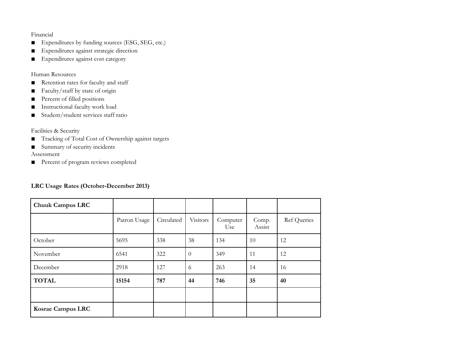## Financial

- Expenditures by funding sources (ESG, SEG, etc.)
- Expenditures against strategic direction
- Expenditures against cost category

### Human Resources

- Retention rates for faculty and staff
- Faculty/staff by state of origin
- Percent of filled positions
- Instructional faculty work load
- Student/student services staff ratio

## Facilities & Security

- Tracking of Total Cost of Ownership against targets
- Summary of security incidents

Assessment

■ Percent of program reviews completed

## **LRC Usage Rates (October-December 2013)**

| <b>Chuuk Campus LRC</b>  |              |            |          |                 |                 |                    |
|--------------------------|--------------|------------|----------|-----------------|-----------------|--------------------|
|                          | Patron Usage | Circulated | Visitors | Computer<br>Use | Comp.<br>Assist | <b>Ref</b> Queries |
| October                  | 5695         | 338        | 38       | 134             | 10              | 12                 |
| November                 | 6541         | 322        | $\theta$ | 349             | 11              | 12                 |
| December                 | 2918         | 127        | 6        | 263             | 14              | 16                 |
| <b>TOTAL</b>             | 15154        | 787        | 44       | 746             | 35              | 40                 |
|                          |              |            |          |                 |                 |                    |
| <b>Kosrae Campus LRC</b> |              |            |          |                 |                 |                    |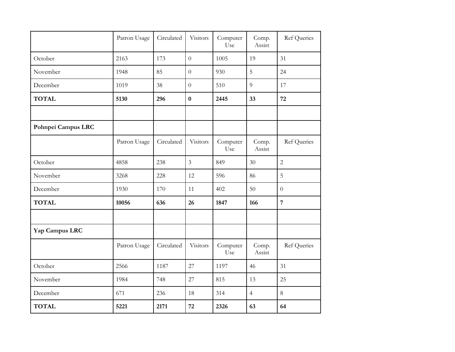|                    | Patron Usage | Circulated | Visitors         | Computer<br>Use | Comp.<br>Assist | <b>Ref Queries</b> |
|--------------------|--------------|------------|------------------|-----------------|-----------------|--------------------|
| October            | 2163         | 173        | $\overline{0}$   | 1005            | 19              | 31                 |
| November           | 1948         | 85         | $\overline{0}$   | 930             | 5               | 24                 |
| December           | 1019         | 38         | $\boldsymbol{0}$ | 510             | 9               | 17                 |
| <b>TOTAL</b>       | 5130         | 296        | $\bf{0}$         | 2445            | 33              | 72                 |
|                    |              |            |                  |                 |                 |                    |
| Pohnpei Campus LRC |              |            |                  |                 |                 |                    |
|                    | Patron Usage | Circulated | Visitors         | Computer<br>Use | Comp.<br>Assist | Ref Queries        |
| October            | 4858         | 238        | $\overline{3}$   | 849             | 30              | $\overline{2}$     |
| November           | 3268         | 228        | 12               | 596             | 86              | 5                  |
| December           | 1930         | 170        | 11               | 402             | 50              | $\overline{0}$     |
| <b>TOTAL</b>       | 10056        | 636        | 26               | 1847            | 166             | $\overline{7}$     |
|                    |              |            |                  |                 |                 |                    |
| Yap Campus LRC     |              |            |                  |                 |                 |                    |
|                    | Patron Usage | Circulated | Visitors         | Computer<br>Use | Comp.<br>Assist | <b>Ref Queries</b> |
| October            | 2566         | 1187       | 27               | 1197            | 46              | 31                 |
| November           | 1984         | 748        | 27               | 815             | 13              | 25                 |
| December           | 671          | 236        | 18               | 314             | $\overline{4}$  | $8\,$              |
| <b>TOTAL</b>       | 5221         | 2171       | 72               | 2326            | 63              | 64                 |